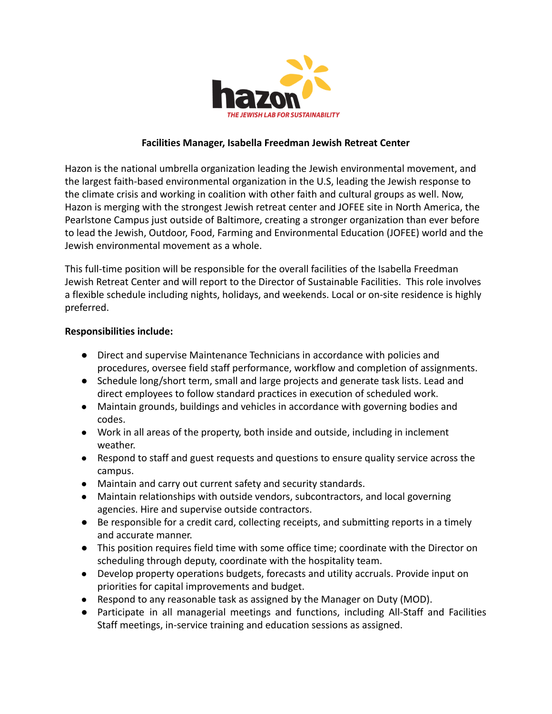

### **Facilities Manager, Isabella Freedman Jewish Retreat Center**

Hazon is the national umbrella organization leading the Jewish environmental movement, and the largest faith-based environmental organization in the U.S, leading the Jewish response to the climate crisis and working in coalition with other faith and cultural groups as well. Now, Hazon is merging with the strongest Jewish retreat center and JOFEE site in North America, the Pearlstone Campus just outside of Baltimore, creating a stronger organization than ever before to lead the [Jewish, Outdoor, Food, Farming and Environmental](https://default.salsalabs.org/Tdc775d19-276c-4ea0-a577-28c1c5c8be08/258d03b5-762f-4cbd-b3b8-51971d31a8de) Education (JOFEE) world and the Jewish environmental movement as a whole.

This full-time position will be responsible for the overall facilities of the Isabella Freedman Jewish Retreat Center and will report to the Director of Sustainable Facilities. This role involves a flexible schedule including nights, holidays, and weekends. Local or on-site residence is highly preferred.

#### **Responsibilities include:**

- Direct and supervise Maintenance Technicians in accordance with policies and procedures, oversee field staff performance, workflow and completion of assignments.
- Schedule long/short term, small and large projects and generate task lists. Lead and direct employees to follow standard practices in execution of scheduled work.
- Maintain grounds, buildings and vehicles in accordance with governing bodies and codes.
- Work in all areas of the property, both inside and outside, including in inclement weather.
- Respond to staff and guest requests and questions to ensure quality service across the campus.
- Maintain and carry out current safety and security standards.
- Maintain relationships with outside vendors, subcontractors, and local governing agencies. Hire and supervise outside contractors.
- Be responsible for a credit card, collecting receipts, and submitting reports in a timely and accurate manner.
- This position requires field time with some office time; coordinate with the Director on scheduling through deputy, coordinate with the hospitality team.
- Develop property operations budgets, forecasts and utility accruals. Provide input on priorities for capital improvements and budget.
- Respond to any reasonable task as assigned by the Manager on Duty (MOD).
- Participate in all managerial meetings and functions, including All-Staff and Facilities Staff meetings, in-service training and education sessions as assigned.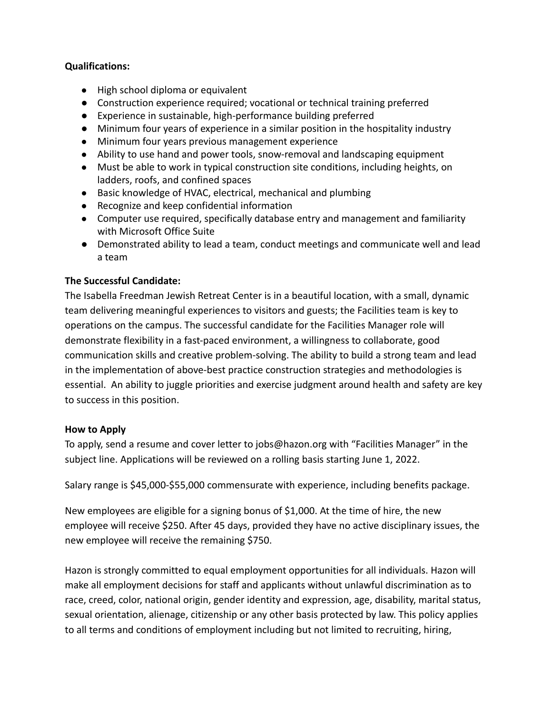## **Qualifications:**

- High school diploma or equivalent
- Construction experience required; vocational or technical training preferred
- Experience in sustainable, high-performance building preferred
- Minimum four years of experience in a similar position in the hospitality industry
- Minimum four years previous management experience
- Ability to use hand and power tools, snow-removal and landscaping equipment
- Must be able to work in typical construction site conditions, including heights, on ladders, roofs, and confined spaces
- Basic knowledge of HVAC, electrical, mechanical and plumbing
- Recognize and keep confidential information
- Computer use required, specifically database entry and management and familiarity with Microsoft Office Suite
- Demonstrated ability to lead a team, conduct meetings and communicate well and lead a team

# **The Successful Candidate:**

The Isabella Freedman Jewish Retreat Center is in a beautiful location, with a small, dynamic team delivering meaningful experiences to visitors and guests; the Facilities team is key to operations on the campus. The successful candidate for the Facilities Manager role will demonstrate flexibility in a fast-paced environment, a willingness to collaborate, good communication skills and creative problem-solving. The ability to build a strong team and lead in the implementation of above-best practice construction strategies and methodologies is essential. An ability to juggle priorities and exercise judgment around health and safety are key to success in this position.

## **How to Apply**

To apply, send a resume and cover letter to jobs@hazon.org with "Facilities Manager" in the subject line. Applications will be reviewed on a rolling basis starting June 1, 2022.

Salary range is \$45,000-\$55,000 commensurate with experience, including benefits package.

New employees are eligible for a signing bonus of \$1,000. At the time of hire, the new employee will receive \$250. After 45 days, provided they have no active disciplinary issues, the new employee will receive the remaining \$750.

Hazon is strongly committed to equal employment opportunities for all individuals. Hazon will make all employment decisions for staff and applicants without unlawful discrimination as to race, creed, color, national origin, gender identity and expression, age, disability, marital status, sexual orientation, alienage, citizenship or any other basis protected by law. This policy applies to all terms and conditions of employment including but not limited to recruiting, hiring,